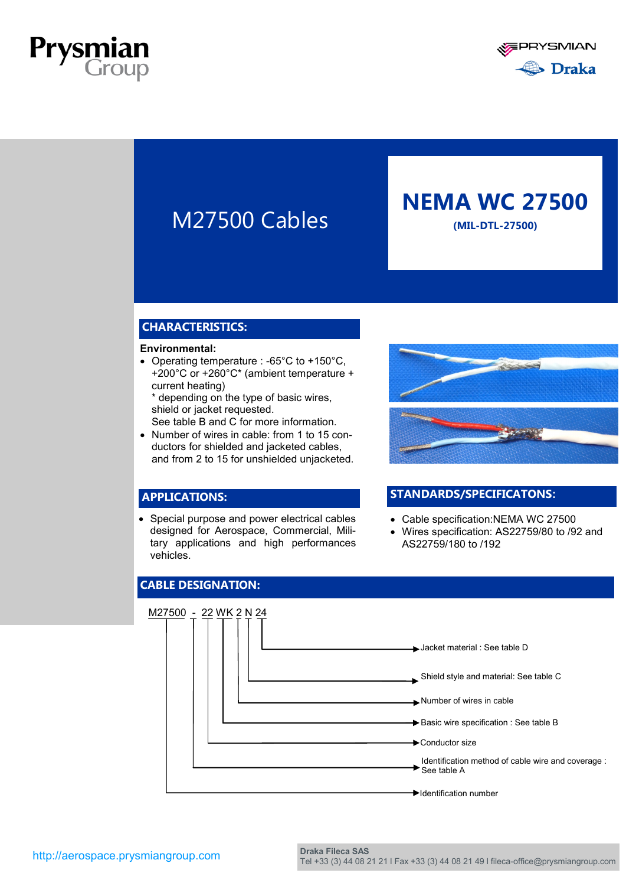





# **NEMA WC 27500**

### **CHARACTERISTICS:**

#### **Environmental:**

 Operating temperature : -65°C to +150°C, +200°C or +260°C\* (ambient temperature + current heating)

\* depending on the type of basic wires, shield or jacket requested. See table B and C for more information.

• Number of wires in cable: from 1 to 15 conductors for shielded and jacketed cables, and from 2 to 15 for unshielded unjacketed.

### **APPLICATIONS:**

• Special purpose and power electrical cables designed for Aerospace, Commercial, Military applications and high performances vehicles.



### **STANDARDS/SPECIFICATONS:**

- Cable specification:NEMA WC 27500
- Wires specification: AS22759/80 to /92 and AS22759/180 to /192

### **CABLE DESIGNATION:**

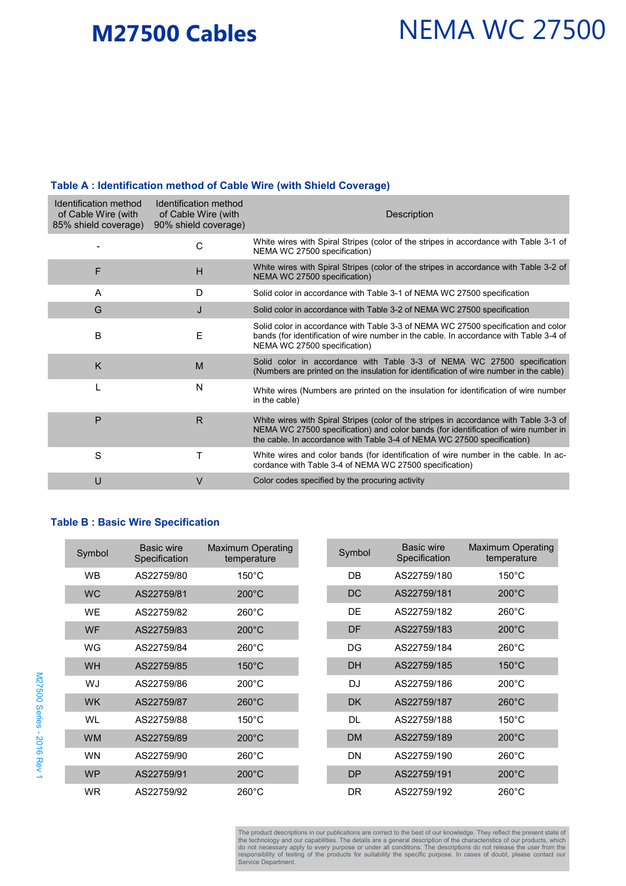# **M27500 Cables**

# NEMA WC 27500

#### **Table A : Identification method of Cable Wire (with Shield Coverage)**

| Identification method<br>of Cable Wire (with<br>85% shield coverage) | Identification method<br>of Cable Wire (with<br>90% shield coverage) | <b>Description</b>                                                                                                                                                                                                                                     |
|----------------------------------------------------------------------|----------------------------------------------------------------------|--------------------------------------------------------------------------------------------------------------------------------------------------------------------------------------------------------------------------------------------------------|
|                                                                      | C                                                                    | White wires with Spiral Stripes (color of the stripes in accordance with Table 3-1 of<br>NEMA WC 27500 specification)                                                                                                                                  |
| F                                                                    | H                                                                    | White wires with Spiral Stripes (color of the stripes in accordance with Table 3-2 of<br>NEMA WC 27500 specification)                                                                                                                                  |
| A                                                                    | D                                                                    | Solid color in accordance with Table 3-1 of NEMA WC 27500 specification                                                                                                                                                                                |
| G                                                                    | J                                                                    | Solid color in accordance with Table 3-2 of NEMA WC 27500 specification                                                                                                                                                                                |
| B                                                                    | E                                                                    | Solid color in accordance with Table 3-3 of NEMA WC 27500 specification and color<br>bands (for identification of wire number in the cable. In accordance with Table 3-4 of<br>NEMA WC 27500 specification)                                            |
| K                                                                    | M                                                                    | Solid color in accordance with Table 3-3 of NEMA WC 27500 specification<br>(Numbers are printed on the insulation for identification of wire number in the cable)                                                                                      |
|                                                                      | N                                                                    | White wires (Numbers are printed on the insulation for identification of wire number<br>in the cable)                                                                                                                                                  |
| P                                                                    | $\mathsf{R}$                                                         | White wires with Spiral Stripes (color of the stripes in accordance with Table 3-3 of<br>NEMA WC 27500 specification) and color bands (for identification of wire number in<br>the cable. In accordance with Table 3-4 of NEMA WC 27500 specification) |
| S                                                                    | Т                                                                    | White wires and color bands (for identification of wire number in the cable. In ac-<br>cordance with Table 3-4 of NEMA WC 27500 specification)                                                                                                         |
| U                                                                    | $\vee$                                                               | Color codes specified by the procuring activity                                                                                                                                                                                                        |

### **Table B : Basic Wire Specification**

| Symbol    | <b>Basic wire</b><br>Specification | <b>Maximum Operating</b><br>temperature | Symbol    | <b>Basic wire</b><br>Specification | <b>Maximum Operating</b><br>temperature |
|-----------|------------------------------------|-----------------------------------------|-----------|------------------------------------|-----------------------------------------|
| <b>WB</b> | AS22759/80                         | $150^{\circ}$ C                         | DB        | AS22759/180                        | $150^{\circ}$ C                         |
| <b>WC</b> | AS22759/81                         | $200^{\circ}$ C                         | <b>DC</b> | AS22759/181                        | $200^{\circ}$ C                         |
| <b>WE</b> | AS22759/82                         | $260^{\circ}$ C                         | DE        | AS22759/182                        | $260^{\circ}$ C                         |
| <b>WF</b> | AS22759/83                         | $200^{\circ}$ C                         | DF        | AS22759/183                        | $200^{\circ}$ C                         |
| WG        | AS22759/84                         | $260^{\circ}$ C                         | DG        | AS22759/184                        | $260^{\circ}$ C                         |
| WH.       | AS22759/85                         | $150^{\circ}$ C                         | <b>DH</b> | AS22759/185                        | $150^{\circ}$ C                         |
| WJ        | AS22759/86                         | $200^{\circ}$ C                         | <b>DJ</b> | AS22759/186                        | $200^{\circ}$ C                         |
| <b>WK</b> | AS22759/87                         | $260^{\circ}$ C                         | <b>DK</b> | AS22759/187                        | $260^{\circ}$ C                         |
| WL        | AS22759/88                         | $150^{\circ}$ C                         | <b>DL</b> | AS22759/188                        | $150^{\circ}$ C                         |
| <b>WM</b> | AS22759/89                         | $200^{\circ}$ C                         | <b>DM</b> | AS22759/189                        | $200^{\circ}$ C                         |
| <b>WN</b> | AS22759/90                         | $260^{\circ}$ C                         | <b>DN</b> | AS22759/190                        | $260^{\circ}$ C                         |
| <b>WP</b> | AS22759/91                         | $200^{\circ}$ C                         | <b>DP</b> | AS22759/191                        | $200^{\circ}$ C                         |
| <b>WR</b> | AS22759/92                         | $260^{\circ}$ C                         | <b>DR</b> | AS22759/192                        | $260^{\circ}$ C                         |

The product descriptions in our publications are correct to the best of our knowledge. They reflect the present state of the technology and our capabilities. The details are a general description of the characteristics of our products, which<br>do not necessary apply to every purpose or under all conditions. The descriptions do not release the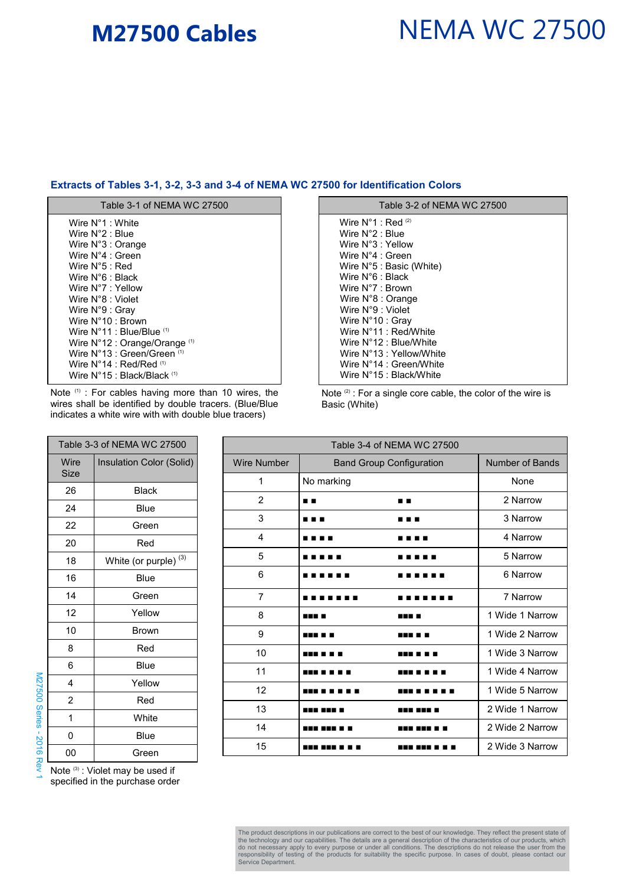## **M27500 Cables**

# NEMA WC 27500

#### **Extracts of Tables 3-1, 3-2, 3-3 and 3-4 of NEMA WC 27500 for Identification Colors**

| Table 3-1 of NEMA WC 27500                          |
|-----------------------------------------------------|
| Wire N°1 : White                                    |
| Wire N°2 : Blue                                     |
| Wire $N^{\circ}3$ : Orange                          |
| Wire N°4 : Green                                    |
| Wire N°5 : Red                                      |
| Wire N°6 : Black                                    |
| Wire N°7 : Yellow                                   |
| Wire N°8 : Violet                                   |
| Wire N°9 : Gray                                     |
| Wire N°10 : Brown                                   |
| Wire $N^{\circ}11$ : Blue/Blue $^{(1)}$             |
| Wire N°12 : Orange/Orange (1)                       |
| Wire $N^{\circ}13$ : Green/Green $^{(1)}$           |
| Wire $N^{\circ}14$ : Red/Red $^{\text{\tiny{(1)}}}$ |
| Wire N°15 : Black/Black ⑴                           |

Note (1) : For cables having more than 10 wires, the wires shall be identified by double tracers. (Blue/Blue indicates a white wire with with double blue tracers)

Table 3-3 of NEMA WC 27500

18 | White (or purple)<sup>(3)</sup>

26 Black 24 | Blue 22 Green 20 Red

16 | Blue 14 Green 12 | Yellow 10 Brown 8 Red 6 Blue 4 Yellow 2 Red 1 White 0 Blue

Insulation Color (Solid)

Wire Size

| Table 3-2 of NEMA WC 27500        |
|-----------------------------------|
| Wire $N^{\circ}1$ : Red $^{(2)}$  |
| Wire N°2 : Blue                   |
| Wire N°3 : Yellow                 |
| Wire N°4 : Green                  |
| Wire $N^{\circ}5$ : Basic (White) |
| Wire N°6 : Black                  |
| Wire N°7 : Brown                  |
| Wire $N^{\circ}8$ : Orange        |
| Wire N°9 : Violet                 |
| Wire N°10 : Gray                  |
| Wire N°11 : Red/White             |
| Wire N°12 : Blue/White            |
| Wire N°13 : Yellow/White          |
| Wire N°14 : Green/White           |
| Wire N°15 : Black/White           |
|                                   |

Note<sup>(2)</sup> : For a single core cable, the color of the wire is Basic (White)

| Table 3-4 of NEMA WC 27500 |                                 |                 |  |  |
|----------------------------|---------------------------------|-----------------|--|--|
| <b>Wire Number</b>         | <b>Band Group Configuration</b> | Number of Bands |  |  |
| 1                          | No marking                      | None            |  |  |
| 2                          | . .<br>. .                      | 2 Narrow        |  |  |
| 3                          | .<br>.                          | 3 Narrow        |  |  |
| 4                          | . .                             | 4 Narrow        |  |  |
| 5                          |                                 | 5 Narrow        |  |  |
| 6                          |                                 | 6 Narrow        |  |  |
| 7                          |                                 | 7 Narrow        |  |  |
| 8                          | 88 B B<br>.                     | 1 Wide 1 Narrow |  |  |
| 9                          | .                               | 1 Wide 2 Narrow |  |  |
| 10                         | ---                             | 1 Wide 3 Narrow |  |  |
| 11                         | .                               | 1 Wide 4 Narrow |  |  |
| 12                         |                                 | 1 Wide 5 Narrow |  |  |
| 13                         | .<br>---<br>.                   | 2 Wide 1 Narrow |  |  |
| 14                         | -----<br>.                      | 2 Wide 2 Narrow |  |  |
| 15                         |                                 | 2 Wide 3 Narrow |  |  |

00 Green Note<sup>(3)</sup>: Violet may be used if

specified in the purchase order

The product descriptions in our publications are correct to the best of our knowledge. They reflect the present state of the technology and our capabilities. The details are a general description of the characteristics of our products, which<br>do not necessary apply to every purpose or under all conditions. The descriptions do not release the